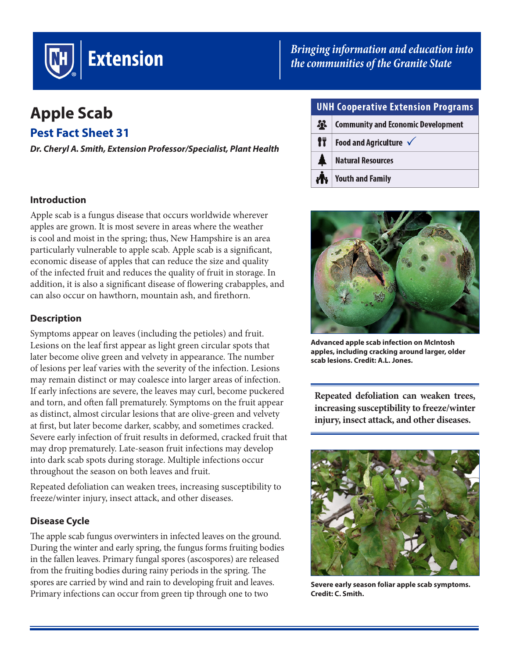

# **Apple Scab**

**Pest Fact Sheet 31**

*Dr. Cheryl A. Smith, Extension Professor/Specialist, Plant Health* 

## **Introduction**

Apple scab is a fungus disease that occurs worldwide wherever apples are grown. It is most severe in areas where the weather is cool and moist in the spring; thus, New Hampshire is an area particularly vulnerable to apple scab. Apple scab is a significant, economic disease of apples that can reduce the size and quality of the infected fruit and reduces the quality of fruit in storage. In addition, it is also a significant disease of flowering crabapples, and can also occur on hawthorn, mountain ash, and firethorn.

# **Description**

Symptoms appear on leaves (including the petioles) and fruit. Lesions on the leaf first appear as light green circular spots that later become olive green and velvety in appearance. The number of lesions per leaf varies with the severity of the infection. Lesions may remain distinct or may coalesce into larger areas of infection. If early infections are severe, the leaves may curl, become puckered and torn, and often fall prematurely. Symptoms on the fruit appear as distinct, almost circular lesions that are olive-green and velvety at first, but later become darker, scabby, and sometimes cracked. Severe early infection of fruit results in deformed, cracked fruit that may drop prematurely. Late-season fruit infections may develop into dark scab spots during storage. Multiple infections occur throughout the season on both leaves and fruit.

Repeated defoliation can weaken trees, increasing susceptibility to freeze/winter injury, insect attack, and other diseases.

# **Disease Cycle**

The apple scab fungus overwinters in infected leaves on the ground. During the winter and early spring, the fungus forms fruiting bodies in the fallen leaves. Primary fungal spores (ascospores) are released from the fruiting bodies during rainy periods in the spring. The spores are carried by wind and rain to developing fruit and leaves. Primary infections can occur from green tip through one to two

# *[Bringing information and education into](http://extension.unh.edu/)  the communities of the Granite State*

| <b>UNH Cooperative Extension Programs</b> |                                           |  |
|-------------------------------------------|-------------------------------------------|--|
| $\mathbf{r}$                              | <b>Community and Economic Development</b> |  |
| 17                                        | Food and Agriculture $\checkmark$         |  |
|                                           | <b>Natural Resources</b>                  |  |
|                                           | <b>Youth and Family</b>                   |  |



**Advanced apple scab infection on McIntosh apples, including cracking around larger, older scab lesions. Credit: A.L. Jones.**

**Repeated defoliation can weaken trees, increasing susceptibility to freeze/winter injury, insect attack, and other diseases.**



**Severe early season foliar apple scab symptoms. Credit: C. Smith.**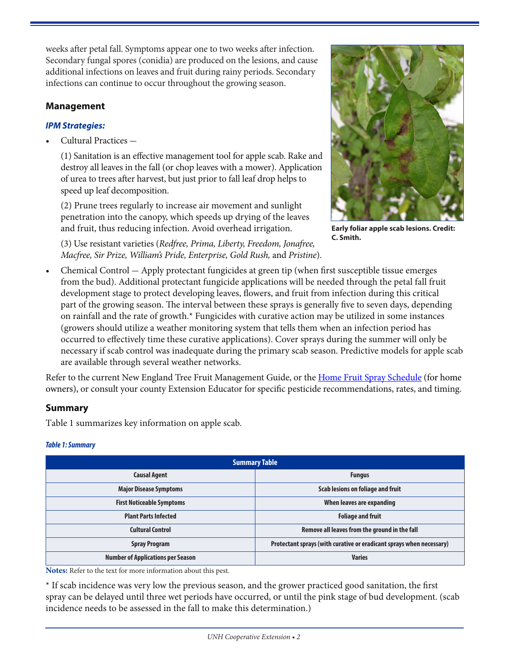weeks after petal fall. Symptoms appear one to two weeks after infection. Secondary fungal spores (conidia) are produced on the lesions, and cause additional infections on leaves and fruit during rainy periods. Secondary infections can continue to occur throughout the growing season.

# **Management**

# *IPM Strategies:*

Cultural Practices -

(1) Sanitation is an effective management tool for apple scab. Rake and destroy all leaves in the fall (or chop leaves with a mower). Application of urea to trees after harvest, but just prior to fall leaf drop helps to speed up leaf decomposition.

(2) Prune trees regularly to increase air movement and sunlight penetration into the canopy, which speeds up drying of the leaves and fruit, thus reducing infection. Avoid overhead irrigation.

(3) Use resistant varieties (*Redfree, Prima, Liberty, Freedom, Jonafree, Macfree, Sir Prize, William's Pride, Enterprise, Gold Rush,* and *Pristine*).



**Early foliar apple scab lesions. Credit: C. Smith.**

Chemical Control - Apply protectant fungicides at green tip (when first susceptible tissue emerges from the bud). Additional protectant fungicide applications will be needed through the petal fall fruit development stage to protect developing leaves, flowers, and fruit from infection during this critical part of the growing season. The interval between these sprays is generally five to seven days, depending on rainfall and the rate of growth.\* Fungicides with curative action may be utilized in some instances (growers should utilize a weather monitoring system that tells them when an infection period has occurred to effectively time these curative applications). Cover sprays during the summer will only be necessary if scab control was inadequate during the primary scab season. Predictive models for apple scab are available through several weather networks.

Refer to the current New England Tree Fruit Management Guide, or the [Home Fruit Spray Schedule](https://extension.unh.edu/resources/files/Resource005256_Rep7402.pdf) (for home owners), or consult your county Extension Educator for specific pesticide recommendations, rates, and timing.

# **Summary**

Table 1 summarizes key information on apple scab.

#### *Table 1: Summary*

| <b>Summary Table</b>                     |                                                                      |  |  |
|------------------------------------------|----------------------------------------------------------------------|--|--|
| <b>Causal Agent</b>                      | <b>Fungus</b>                                                        |  |  |
| <b>Major Disease Symptoms</b>            | Scab lesions on foliage and fruit                                    |  |  |
| <b>First Noticeable Symptoms</b>         | When leaves are expanding                                            |  |  |
| <b>Plant Parts Infected</b>              | <b>Foliage and fruit</b>                                             |  |  |
| <b>Cultural Control</b>                  | Remove all leaves from the ground in the fall                        |  |  |
| <b>Spray Program</b>                     | Protectant sprays (with curative or eradicant sprays when necessary) |  |  |
| <b>Number of Applications per Season</b> | <b>Varies</b>                                                        |  |  |

**Notes:** Refer to the text for more information about this pest.

\* If scab incidence was very low the previous season, and the grower practiced good sanitation, the first spray can be delayed until three wet periods have occurred, or until the pink stage of bud development. (scab incidence needs to be assessed in the fall to make this determination.)